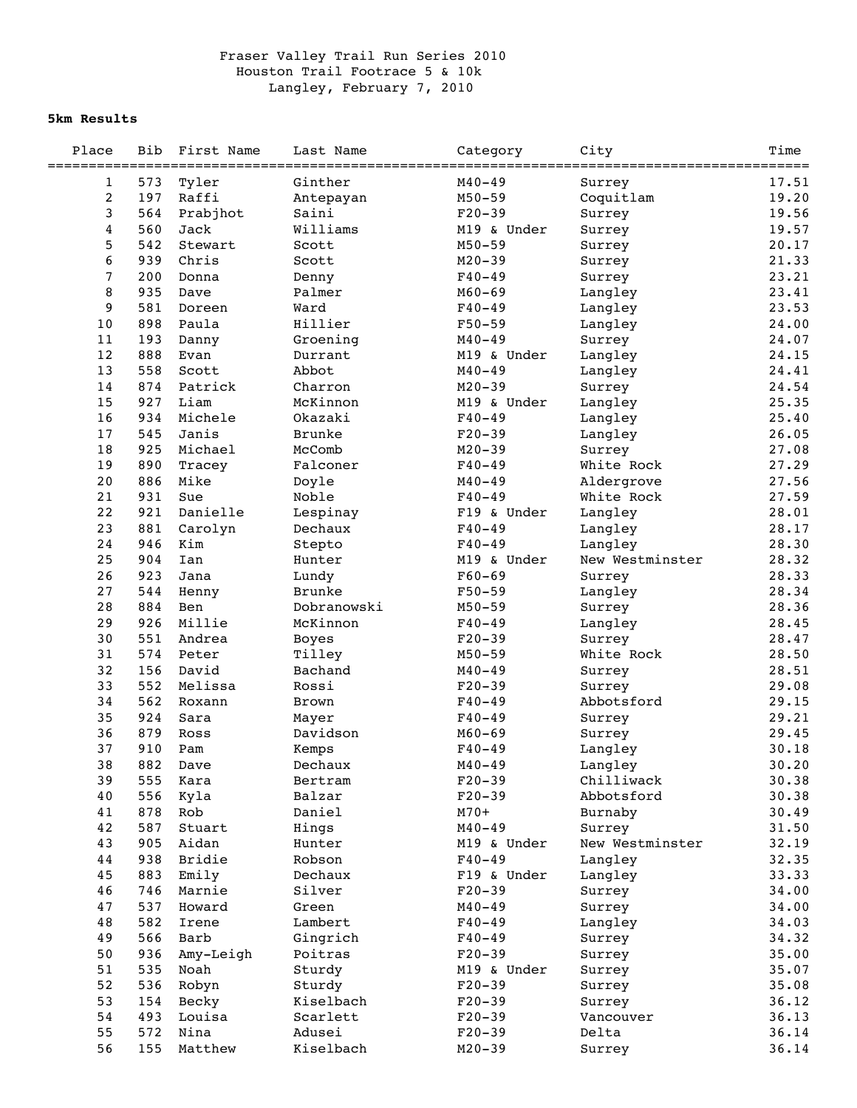## Fraser Valley Trail Run Series 2010 Houston Trail Footrace 5 & 10k Langley, February 7, 2010

## **5km Results**

| Place<br>=================== | <b>Bib</b> | First Name | Last Name     | Category    | City            | Time<br>=========== |
|------------------------------|------------|------------|---------------|-------------|-----------------|---------------------|
| $\mathbf 1$                  | 573        | Tyler      | Ginther       | $M40 - 49$  | Surrey          | 17.51               |
| 2                            | 197        | Raffi      | Antepayan     | $M50 - 59$  | Coquitlam       | 19.20               |
| 3                            | 564        | Prabjhot   | Saini         | $F20-39$    | Surrey          | 19.56               |
| $\overline{4}$               | 560        | Jack       | Williams      | M19 & Under | Surrey          | 19.57               |
| 5                            | 542        | Stewart    | Scott         | $M50 - 59$  | Surrey          | 20.17               |
| 6                            | 939        | Chris      | Scott         | $M20 - 39$  | Surrey          | 21.33               |
| $\overline{7}$               | 200        | Donna      | Denny         | $F40 - 49$  | Surrey          | 23.21               |
| 8                            | 935        | Dave       | Palmer        | $M60 - 69$  | Langley         | 23.41               |
| 9                            | 581        | Doreen     | Ward          | $F40 - 49$  | Langley         | 23.53               |
| 10                           | 898        | Paula      | Hillier       | $F50 - 59$  | Langley         | 24.00               |
| 11                           | 193        | Danny      | Groening      | $M40 - 49$  | Surrey          | 24.07               |
| 12                           | 888        | Evan       | Durrant       | M19 & Under | Langley         | 24.15               |
| 13                           | 558        | Scott      | Abbot         | $M40 - 49$  | Langley         | 24.41               |
| 14                           | 874        | Patrick    | Charron       | $M20 - 39$  | Surrey          | 24.54               |
| 15                           | 927        | Liam       | McKinnon      | M19 & Under | Langley         | 25.35               |
| 16                           | 934        | Michele    | Okazaki       | $F40 - 49$  | Langley         | 25.40               |
| 17                           | 545        | Janis      | <b>Brunke</b> | $F20-39$    | Langley         | 26.05               |
| $1\,8$                       | 925        | Michael    | McComb        | $M20 - 39$  | Surrey          | 27.08               |
| 19                           | 890        | Tracey     | Falconer      | $F40 - 49$  | White Rock      | 27.29               |
| 20                           | 886        | Mike       | Doyle         | $M40 - 49$  | Aldergrove      | 27.56               |
| 21                           | 931        | Sue        | Noble         | $F40 - 49$  | White Rock      | 27.59               |
| 22                           | 921        | Danielle   | Lespinay      | F19 & Under | Langley         | 28.01               |
| 23                           | 881        | Carolyn    | Dechaux       | $F40 - 49$  | Langley         | 28.17               |
| 24                           | 946        | Kim        | Stepto        | $F40 - 49$  | Langley         | 28.30               |
| 25                           | 904        | Ian        | Hunter        | M19 & Under | New Westminster | 28.32               |
| 26                           | 923        | Jana       | Lundy         | $F60 - 69$  | Surrey          | 28.33               |
| 27                           | 544        | Henny      | <b>Brunke</b> | $F50 - 59$  | Langley         | 28.34               |
| 28                           | 884        | Ben        | Dobranowski   | $M50 - 59$  | Surrey          | 28.36               |
| 29                           | 926        | Millie     | McKinnon      | $F40 - 49$  | Langley         | 28.45               |
| 30                           | 551        | Andrea     | <b>Boyes</b>  | $F20-39$    | Surrey          | 28.47               |
| 31                           | 574        | Peter      | Tilley        | $M50 - 59$  | White Rock      | 28.50               |
| 32                           | 156        | David      | Bachand       | $M40 - 49$  | Surrey          | 28.51               |
| 33                           | 552        | Melissa    | Rossi         | $F20-39$    | Surrey          | 29.08               |
| 34                           | 562        | Roxann     | Brown         | $F40 - 49$  | Abbotsford      | 29.15               |
| 35                           | 924        | Sara       | Mayer         | $F40 - 49$  | Surrey          | 29.21               |
| 36                           | 879        | Ross       | Davidson      | $M60 - 69$  | Surrey          | 29.45               |
| 37                           | 910        | Pam        | Kemps         | $F40 - 49$  | Langley         | 30.18               |
| 38                           | 882        | Dave       | Dechaux       | $M40 - 49$  | Langley         | 30.20               |
| 39                           | 555        | Kara       | Bertram       | $F20-39$    | Chilliwack      | 30.38               |
| 40                           | 556        | Kyla       | Balzar        | $F20-39$    | Abbotsford      | 30.38               |
| 41                           | 878        | Rob        | Daniel        | $M70+$      | Burnaby         | 30.49               |
| 42                           | 587        | Stuart     | Hings         | $M40 - 49$  | Surrey          | 31.50               |
| 43                           | 905        | Aidan      | Hunter        | M19 & Under | New Westminster | 32.19               |
| 44                           | 938        | Bridie     | Robson        | $F40 - 49$  | Langley         | 32.35               |
| 45                           | 883        | Emily      | Dechaux       | F19 & Under | Langley         | 33.33               |
| 46                           | 746        | Marnie     | Silver        | $F20-39$    | Surrey          | 34.00               |
| 47                           | 537        | Howard     | Green         | $M40 - 49$  | Surrey          | 34.00               |
| 48                           | 582        | Irene      | Lambert       | $F40 - 49$  | Langley         | 34.03               |
| 49                           | 566        | Barb       | Gingrich      | $F40 - 49$  | Surrey          | 34.32               |
| 50                           | 936        | Amy-Leigh  | Poitras       | $F20-39$    | Surrey          | 35.00               |
| 51                           | 535        | Noah       | Sturdy        | M19 & Under | Surrey          | 35.07               |
| 52                           | 536        | Robyn      | Sturdy        | $F20 - 39$  | Surrey          | 35.08               |
| 53                           | 154        | Becky      | Kiselbach     | $F20-39$    | Surrey          | 36.12               |
| 54                           | 493        | Louisa     | Scarlett      | $F20 - 39$  | Vancouver       | 36.13               |
| 55                           | 572        | Nina       | Adusei        | $F20-39$    | Delta           | 36.14               |
| 56                           | 155        | Matthew    | Kiselbach     | $M20 - 39$  | Surrey          | 36.14               |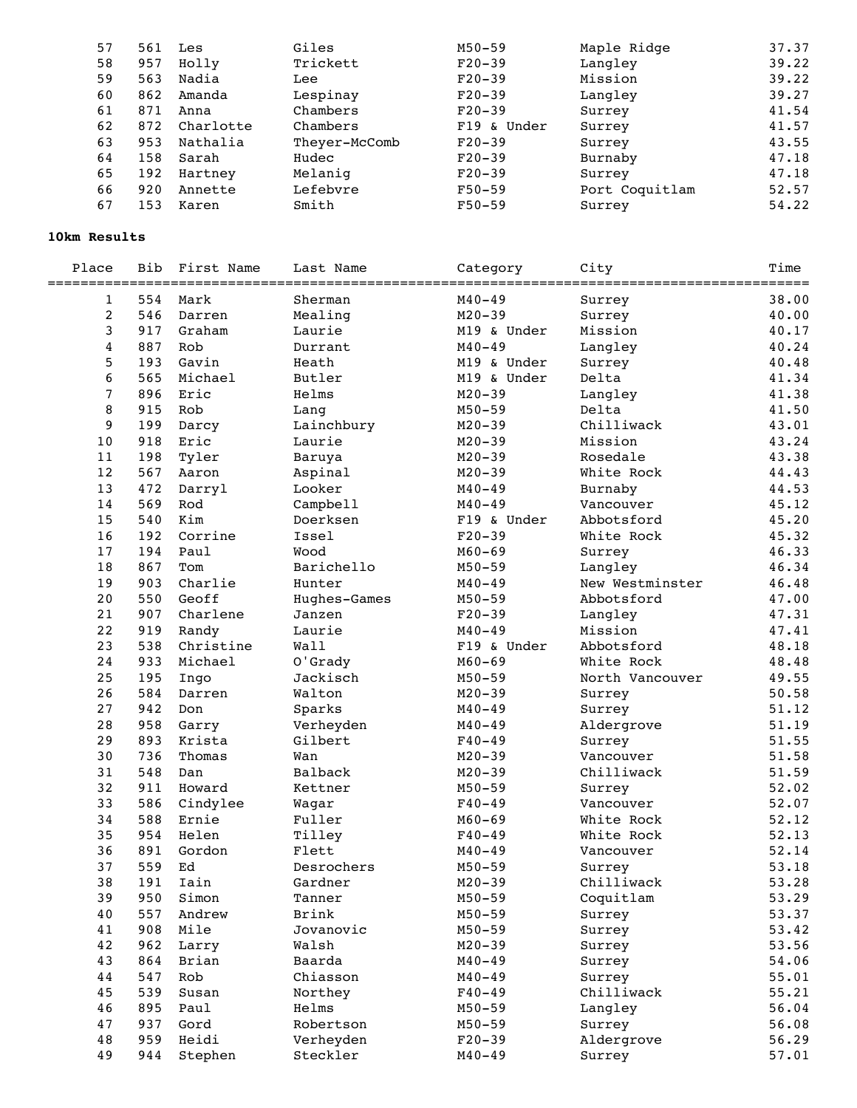| 561 | Les       | Giles         | $M50 - 59$  | Maple Ridge    | 37.37 |
|-----|-----------|---------------|-------------|----------------|-------|
| 957 | Holly     | Trickett      | $F20-39$    | Langley        | 39.22 |
| 563 | Nadia     | Lee           | $F20-39$    | Mission        | 39.22 |
| 862 | Amanda    | Lespinay      | $F20-39$    | Langley        | 39.27 |
| 871 | Anna      | Chambers      | $F20-39$    | Surrey         | 41.54 |
| 872 | Charlotte | Chambers      | F19 & Under | Surrey         | 41.57 |
| 953 | Nathalia  | Theyer-McComb | $F20-39$    | Surrey         | 43.55 |
| 158 | Sarah     | Hudec         | $F20-39$    | Burnaby        | 47.18 |
| 192 | Hartney   | Melaniq       | $F20-39$    | Surrey         | 47.18 |
| 920 | Annette   | Lefebvre      | $F50-59$    | Port Coquitlam | 52.57 |
| 153 | Karen     | Smith         | $F50-59$    | Surrey         | 54.22 |
|     |           |               |             |                |       |

## **10km Results**

| Place          | Bib | First Name | Last Name    | Category    | City            | Time           |
|----------------|-----|------------|--------------|-------------|-----------------|----------------|
| 1              | 554 | Mark       | Sherman      | $M40 - 49$  | Surrey          | =====<br>38.00 |
| $\overline{c}$ | 546 | Darren     | Mealing      | $M20 - 39$  | Surrey          | 40.00          |
| 3              | 917 | Graham     | Laurie       | M19 & Under | Mission         | 40.17          |
| $\overline{4}$ | 887 | Rob        | Durrant      | $M40 - 49$  | Langley         | 40.24          |
| 5              | 193 | Gavin      | Heath        | M19 & Under | Surrey          | 40.48          |
| 6              | 565 | Michael    | Butler       | M19 & Under | Delta           | 41.34          |
| $\overline{7}$ | 896 | Eric       | Helms        | $M20 - 39$  | Langley         | 41.38          |
| 8              | 915 | Rob        | Lang         | $M50 - 59$  | Delta           | 41.50          |
| 9              | 199 | Darcy      | Lainchbury   | $M20 - 39$  | Chilliwack      | 43.01          |
| 10             | 918 | Eric       | Laurie       | $M20 - 39$  | Mission         | 43.24          |
| 11             | 198 | Tyler      | Baruya       | $M20 - 39$  | Rosedale        | 43.38          |
| 12             | 567 | Aaron      | Aspinal      | $M20 - 39$  | White Rock      | 44.43          |
| 13             | 472 | Darryl     | Looker       | $M40 - 49$  | Burnaby         | 44.53          |
| 14             | 569 | Rod        | Campbell     | $M40 - 49$  | Vancouver       | 45.12          |
| 15             | 540 | Kim        | Doerksen     | F19 & Under | Abbotsford      | 45.20          |
| 16             | 192 | Corrine    | Issel        | $F20-39$    | White Rock      | 45.32          |
| 17             | 194 | Paul       | Wood         | $M60 - 69$  |                 | 46.33          |
| 18             | 867 | Tom        | Barichello   | $M50 - 59$  | Surrey          | 46.34          |
|                |     |            | Hunter       |             | Langley         |                |
| 19             | 903 | Charlie    |              | $M40 - 49$  | New Westminster | 46.48          |
| 20             | 550 | Geoff      | Hughes-Games | $M50 - 59$  | Abbotsford      | 47.00          |
| 21             | 907 | Charlene   | Janzen       | $F20-39$    | Langley         | 47.31          |
| 22             | 919 | Randy      | Laurie       | $M40 - 49$  | Mission         | 47.41          |
| 23             | 538 | Christine  | Wall         | F19 & Under | Abbotsford      | 48.18          |
| 24             | 933 | Michael    | O'Grady      | $M60 - 69$  | White Rock      | 48.48          |
| 25             | 195 | Ingo       | Jackisch     | $M50 - 59$  | North Vancouver | 49.55          |
| 26             | 584 | Darren     | Walton       | $M20 - 39$  | Surrey          | 50.58          |
| 27             | 942 | Don        | Sparks       | $M40 - 49$  | Surrey          | 51.12          |
| 28             | 958 | Garry      | Verheyden    | $M40 - 49$  | Aldergrove      | 51.19          |
| 29             | 893 | Krista     | Gilbert      | $F40 - 49$  | Surrey          | 51.55          |
| 30             | 736 | Thomas     | Wan          | $M20 - 39$  | Vancouver       | 51.58          |
| 31             | 548 | Dan        | Balback      | $M20 - 39$  | Chilliwack      | 51.59          |
| 32             | 911 | Howard     | Kettner      | $M50 - 59$  | Surrey          | 52.02          |
| 33             | 586 | Cindylee   | Wagar        | $F40 - 49$  | Vancouver       | 52.07          |
| 34             | 588 | Ernie      | Fuller       | $M60 - 69$  | White Rock      | 52.12          |
| 35             | 954 | Helen      | Tilley       | $F40 - 49$  | White Rock      | 52.13          |
| 36             | 891 | Gordon     | Flett        | $M40 - 49$  | Vancouver       | 52.14          |
| 37             | 559 | Ed         | Desrochers   | $M50 - 59$  | Surrey          | 53.18          |
| 38             | 191 | Iain       | Gardner      | $M20 - 39$  | Chilliwack      | 53.28          |
| 39             | 950 | Simon      | Tanner       | $M50 - 59$  | Coquitlam       | 53.29          |
| 40             | 557 | Andrew     | Brink        | $M50 - 59$  | Surrey          | 53.37          |
| 41             | 908 | Mile       | Jovanovic    | $M50 - 59$  | Surrey          | 53.42          |
| 42             | 962 | Larry      | Walsh        | $M20 - 39$  | Surrey          | 53.56          |
| 43             | 864 | Brian      | Baarda       | $M40 - 49$  | Surrey          | 54.06          |
| 44             | 547 | Rob        | Chiasson     | $M40 - 49$  | Surrey          | 55.01          |
| 45             | 539 | Susan      | Northey      | $F40 - 49$  | Chilliwack      | 55.21          |
| 46             | 895 | Paul       | Helms        | $M50 - 59$  | Langley         | 56.04          |
| 47             | 937 | Gord       | Robertson    | $M50 - 59$  | Surrey          | 56.08          |
| 48             | 959 | Heidi      | Verheyden    | $F20-39$    | Aldergrove      | 56.29          |
| 49             | 944 | Stephen    | Steckler     | $M40 - 49$  | Surrey          | 57.01          |
|                |     |            |              |             |                 |                |